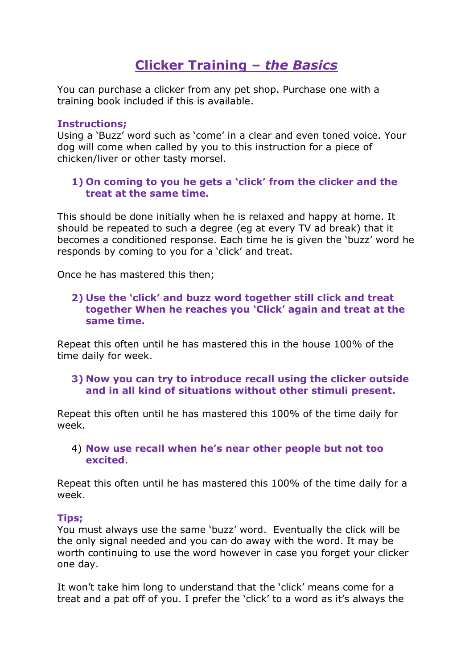# **Clicker Training –** *the Basics*

You can purchase a clicker from any pet shop. Purchase one with a training book included if this is available.

#### **Instructions;**

Using a 'Buzz' word such as 'come' in a clear and even toned voice. Your dog will come when called by you to this instruction for a piece of chicken/liver or other tasty morsel.

## **1) On coming to you he gets a 'click' from the clicker and the treat at the same time.**

This should be done initially when he is relaxed and happy at home. It should be repeated to such a degree (eg at every TV ad break) that it becomes a conditioned response. Each time he is given the 'buzz' word he responds by coming to you for a 'click' and treat.

Once he has mastered this then;

## **2) Use the 'click' and buzz word together still click and treat together When he reaches you 'Click' again and treat at the same time.**

Repeat this often until he has mastered this in the house 100% of the time daily for week.

#### **3) Now you can try to introduce recall using the clicker outside and in all kind of situations without other stimuli present.**

Repeat this often until he has mastered this 100% of the time daily for week.

4) **Now use recall when he's near other people but not too excited**.

Repeat this often until he has mastered this 100% of the time daily for a week.

#### **Tips;**

You must always use the same 'buzz' word. Eventually the click will be the only signal needed and you can do away with the word. It may be worth continuing to use the word however in case you forget your clicker one day.

It won't take him long to understand that the 'click' means come for a treat and a pat off of you. I prefer the 'click' to a word as it's always the